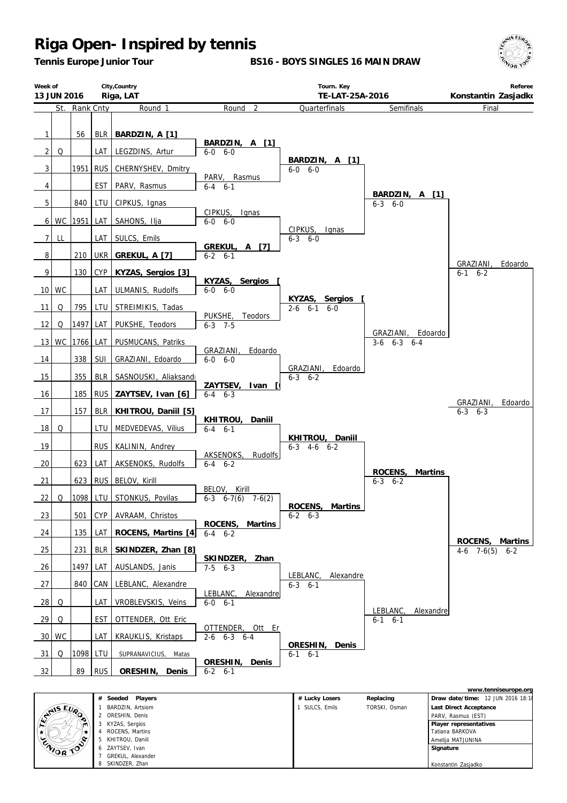3 KYZAS, Sergios 4 ROCENS Martins 5 KHITROU, Daniil 6 ZAYTSEV Ivan 7 GREKUL, Alexander SKINDZER, Zhan

**HEATER** 

s,

*Tennis Europe Junior Tour*

**BS16 - BOYS SINGLES 16 MAIN DRAW**



 **Player representatives** Tatiana BARKOVA Amelija MATJUNINA  **Signature**

Konstantin Zasjadko

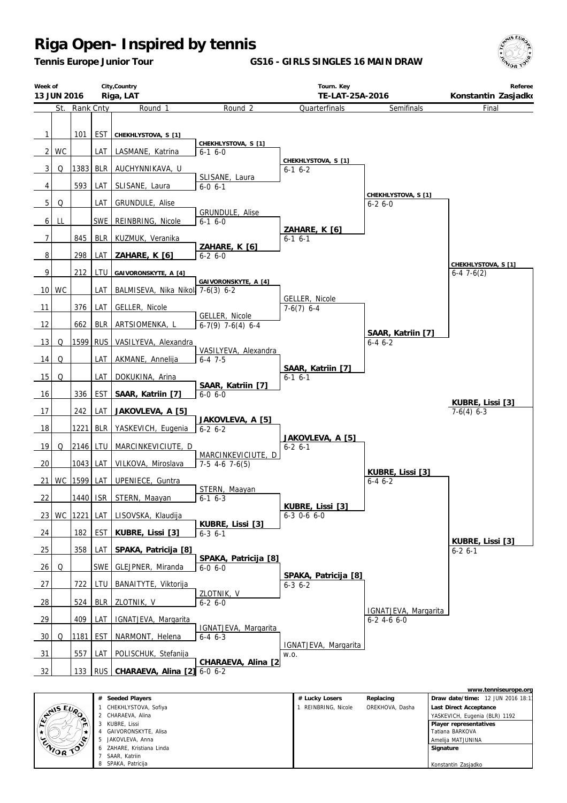*Tennis Europe Junior Tour*

**GS16 - GIRLS SINGLES 16 MAIN DRAW**



| Week of<br>13 JUN 2016         |           |           |                   | City, Country<br>Riga, LAT              |                                        | Tourn. Key<br>TE-LAT-25A-2016           |                                       | Referee<br>Konstantin Zasjadko     |
|--------------------------------|-----------|-----------|-------------------|-----------------------------------------|----------------------------------------|-----------------------------------------|---------------------------------------|------------------------------------|
|                                | St.       | Rank Cnty |                   | Round 1                                 | Round <sub>2</sub>                     | Quarterfinals                           | Semifinals                            | Final                              |
| $\mathbf{1}$<br>2 <sub>1</sub> | <b>WC</b> | 101       | <b>EST</b><br>LAT | CHEKHLYSTOVA, S [1]<br>LASMANE, Katrina | CHEKHLYSTOVA, S [1]<br>$6-1$ $6-0$     |                                         |                                       |                                    |
| 3                              | Q         | 1383      | <b>BLR</b>        | AUCHYNNIKAVA, U                         |                                        | CHEKHLYSTOVA, S [1]<br>$6-1$ $6-2$      |                                       |                                    |
| 4                              |           | 593       | LAT               | SLISANE, Laura                          | SLISANE, Laura<br>$6-0, 6-1$           |                                         |                                       |                                    |
| $\overline{5}$                 | Q         |           | LAT               | GRUNDULE, Alise                         |                                        |                                         | CHEKHLYSTOVA, S [1]<br>$6 - 26 - 0$   |                                    |
| 6 <sup>1</sup>                 | LL        |           | <b>SWE</b>        | REINBRING, Nicole                       | GRUNDULE, Alise<br>$6-1$ $6-0$         |                                         |                                       |                                    |
| 7                              |           | 845       | <b>BLR</b>        | KUZMUK, Veranika                        |                                        | ZAHARE, K [6]<br>$6-1$ $6-1$            |                                       |                                    |
| 8                              |           | 298       | LAT               | ZAHARE, K [6]                           | ZAHARE, K [6]<br>$6 - 26 - 0$          |                                         |                                       |                                    |
| 9                              |           | 212       | LTU               | GAIVORONSKYTE, A [4]                    |                                        |                                         |                                       | CHEKHLYSTOVA, S [1]<br>$6-47-6(2)$ |
|                                | 10 WC     |           | LAT               | BALMISEVA, Nika Nikol: 7-6(3) 6-2       | GAIVORONSKYTE, A [4]                   |                                         |                                       |                                    |
| 11                             |           | 376       | LAT               | GELLER, Nicole                          |                                        | GELLER, Nicole<br>$7-6(7)$ 6-4          |                                       |                                    |
| 12                             |           | 662       | <b>BLR</b>        | ARTSIOMENKA, L                          | GELLER, Nicole<br>$6-7(9)$ 7-6(4) 6-4  |                                         |                                       |                                    |
| 13                             | Q         | 1599 RUS  |                   | VASILYEVA, Alexandra                    |                                        |                                         | SAAR, Katriin [7]<br>$6 - 46 - 2$     |                                    |
| 14                             | Q         |           | LAT               | AKMANE, Annelija                        | VASILYEVA, Alexandra<br>$6-4$ 7-5      |                                         |                                       |                                    |
| 15                             | Q         |           | LAT               | DOKUKINA, Arina                         |                                        | SAAR, Katriin [7]<br>$6-1$ $6-1$        |                                       |                                    |
| 16                             |           | 336       | <b>EST</b>        | SAAR, Katriin [7]                       | SAAR, Katriin [7]<br>$6-0$ 6-0         |                                         |                                       |                                    |
| 17                             |           | 242       | LAT               | JAKOVLEVA, A [5]                        |                                        |                                         |                                       | KUBRE, Lissi [3]<br>$7-6(4)$ 6-3   |
| 18                             |           | 1221      | <b>BLR</b>        | YASKEVICH, Eugenia                      | JAKOVLEVA, A [5]<br>$6 - 2 6 - 2$      |                                         |                                       |                                    |
| 19                             | Q         | 2146      | <b>LTU</b>        | MARCINKEVICIUTE, D                      |                                        | JAKOVLEVA, A [5]<br>$6 - 2 6 - 1$       |                                       |                                    |
| 20                             |           | 1043      | LAT               | VILKOVA, Miroslava                      | MARCINKEVICIUTE, D<br>$7-5$ 4-6 7-6(5) |                                         |                                       |                                    |
| 21                             | WC        | 1599      | LAT               | UPENIECE, Guntra                        |                                        |                                         | KUBRE, Lissi [3]<br>$6 - 46 - 2$      |                                    |
| 22                             |           | 1440 ISR  |                   | STERN, Maayan                           | STERN, Maayan<br>$6-1$ $6-3$           |                                         |                                       |                                    |
|                                | 23 WC     |           |                   | 1221 LAT LISOVSKA, Klaudija             |                                        | KUBRE, Lissi [3]<br>$6-3$ 0-6 6-0       |                                       |                                    |
| 24                             |           | 182       | EST               | KUBRE, Lissi [3]                        | KUBRE, Lissi [3]<br>$6-3$ $6-1$        |                                         |                                       |                                    |
| 25                             |           | 358       | LAT               | SPAKA, Patricija [8]                    |                                        |                                         |                                       | KUBRE, Lissi [3]<br>$6 - 26 - 1$   |
| 26                             | Q         |           | SWE I             | GLEJPNER, Miranda                       | SPAKA, Patricija [8]<br>$6 - 0 6 - 0$  |                                         |                                       |                                    |
| 27                             |           | 722       | LTU               | BANAITYTE, Viktorija                    |                                        | SPAKA, Patricija [8]<br>$6 - 3$ $6 - 2$ |                                       |                                    |
| $\frac{28}{ }$                 |           | 524       | <b>BLR</b>        | ZLOTNIK, V                              | ZLOTNIK, V<br>$6-26-0$                 |                                         |                                       |                                    |
| 29                             |           | 409       | LAT               | IGNATJEVA, Margarita                    |                                        |                                         | IGNATJEVA, Margarita<br>$6-2$ 4-6 6-0 |                                    |
| 30 <sup>1</sup>                | Q         | 1181      | <b>EST</b>        | NARMONT, Helena                         | IGNATJEVA, Margarita<br>$6-4$ $6-3$    |                                         |                                       |                                    |
| 31                             |           | 557       | LAT               | POLISCHUK, Stefanija                    |                                        | IGNATJEVA, Margarita<br>W.O.            |                                       |                                    |
| 32                             |           | 133       | RUS               | CHARAEVA, Alina [2] 6-0 6-2             | CHARAEVA, Alina [2]                    |                                         |                                       |                                    |

|                  |                           |                   |                 | www.tenniseurope.org              |
|------------------|---------------------------|-------------------|-----------------|-----------------------------------|
|                  | # Seeded Players          | # Lucky Losers    | Replacing       | Draw date/time: 12 JUN 2016 18:11 |
|                  | CHEKHLYSTOVA, Sofiya      | REINBRING, Nicole | OREKHOVA, Dasha | Last Direct Acceptance            |
| <b>ANSEURO</b>   | 2 CHARAEVA, Alina         |                   |                 | YASKEVICH, Eugenia (BLR) 1192     |
| m                | KUBRE, Lissi              |                   |                 | Player representatives            |
|                  | GAIVORONSKYTE, Alisa      |                   |                 | Tatiana BARKOVA                   |
| <b>ENIOR TOP</b> | JAKOVLEVA, Anna           |                   |                 | Amelija MATJUNINA                 |
|                  | 6 ZAHARE, Kristiana Linda |                   |                 | Signature                         |
|                  | SAAR, Katriin             |                   |                 |                                   |
|                  | SPAKA, Patricija          |                   |                 | Konstantin Zasjadko               |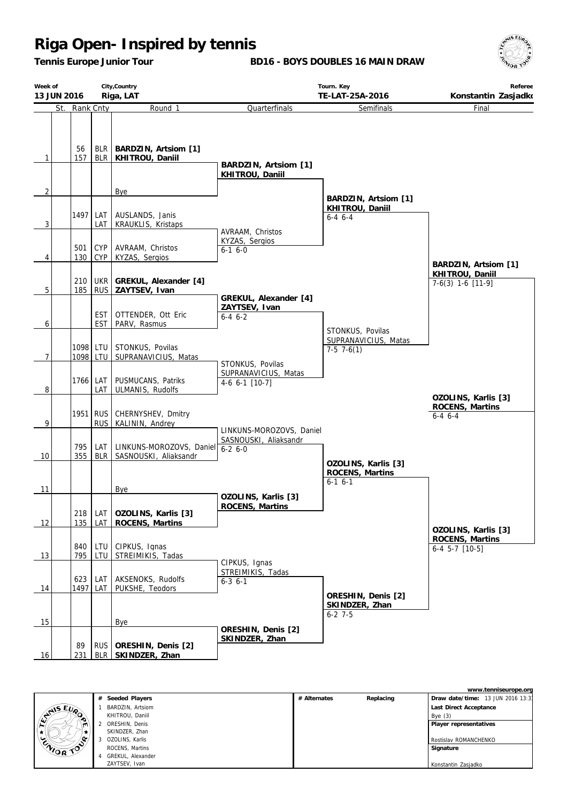*Tennis Europe Junior Tour*

**BD16 - BOYS DOUBLES 16 MAIN DRAW**



| Week of         | City, Country<br>13 JUN 2016<br>Riga, LAT |                   |                                                                | Tourn. Key<br>TE-LAT-25A-2016           | Referee<br>Konstantin Zasjadko                           |                                        |
|-----------------|-------------------------------------------|-------------------|----------------------------------------------------------------|-----------------------------------------|----------------------------------------------------------|----------------------------------------|
|                 | St. Rank Cnty                             |                   | Round 1                                                        | Quarterfinals                           | Semifinals                                               | Final                                  |
| $\mathbf{1}$    | 56<br>157                                 |                   | BLR   BARDZIN, Artsiom [1]<br>BLR   KHITROU, Daniil            | BARDZIN, Artsiom [1]<br>KHITROU, Daniil |                                                          |                                        |
| $\overline{2}$  |                                           |                   | Bye                                                            |                                         |                                                          |                                        |
| $\overline{3}$  |                                           | LAT               | 1497 LAT   AUSLANDS, Janis<br>KRAUKLIS, Kristaps               | AVRAAM, Christos                        | BARDZIN, Artsiom [1]<br>KHITROU, Daniil<br>$6 - 4 6 - 4$ |                                        |
| $\overline{4}$  | 501<br>130                                | <b>CYP</b><br>CYP | AVRAAM, Christos<br>KYZAS, Sergios                             | KYZAS, Sergios<br>$6-1$ $6-0$           |                                                          | BARDZIN, Artsiom [1]                   |
| $5\phantom{.0}$ | 185                                       |                   | 210   UKR   GREKUL, Alexander [4]<br>RUS ZAYTSEV, Ivan         | GREKUL, Alexander [4]                   |                                                          | KHITROU, Daniil<br>$7-6(3)$ 1-6 [11-9] |
| 6               |                                           |                   | EST   OTTENDER, Ott Eric<br>EST   PARV, Rasmus                 | ZAYTSEV, Ivan<br>$6-4$ $6-2$            | STONKUS, Povilas                                         |                                        |
| $\overline{7}$  |                                           |                   | 1098 LTU STONKUS, Povilas<br>1098   LTU   SUPRANAVICIUS, Matas | STONKUS, Povilas                        | SUPRANAVICIUS, Matas<br>$7-5$ 7 $-6(1)$                  |                                        |
| 8               |                                           | LAT               | 1766 LAT   PUSMUCANS, Patriks<br>ULMANIS, Rudolfs              | SUPRANAVICIUS, Matas<br>4-6 6-1 [10-7]  |                                                          | OZOLINS, Karlis [3]                    |
| 9               |                                           |                   | 1951   RUS   CHERNYSHEV, Dmitry<br>RUS KALININ, Andrey         | LINKUNS-MOROZOVS, Daniel                |                                                          | ROCENS, Martins<br>$6 - 4$ $6 - 4$     |
| 10              | 795<br>355                                |                   | LAT   LINKUNS-MOROZOVS, Daniel<br>BLR   SASNOUSKI, Aliaksandr  | SASNOUSKI, Aliaksandr<br>$6 - 26 - 0$   |                                                          |                                        |
| 11              |                                           |                   | Bye                                                            |                                         | OZOLINS, Karlis [3]<br>ROCENS, Martins<br>$6-1$ $6-1$    |                                        |
| 12              | 135                                       | <b>LAT</b>        | 218   LAT   OZOLINS, Karlis [3]<br>ROCENS, Martins             | OZOLINS, Karlis [3]<br>ROCENS, Martins  |                                                          | OZOLINS, Karlis [3]                    |
| 13              | 840<br>795                                | LTU               | CIPKUS, Ignas<br>LTU STREIMIKIS, Tadas                         | CIPKUS, Ignas                           |                                                          | ROCENS, Martins<br>$6-4$ 5-7 $[10-5]$  |
| 14              | 623                                       | LAT<br>1497 LAT   | AKSENOKS, Rudolfs<br>PUKSHE, Teodors                           | STREIMIKIS, Tadas<br>$6 - 3$ $6 - 1$    | ORESHIN, Denis [2]                                       |                                        |
| 15              |                                           |                   | Bye                                                            |                                         | SKINDZER, Zhan<br>$6 - 27 - 5$                           |                                        |
| 16              | 89<br>231                                 |                   | RUS   ORESHIN, Denis [2]<br>BLR   SKINDZER, Zhan               | ORESHIN, Denis [2]<br>SKINDZER, Zhan    |                                                          |                                        |

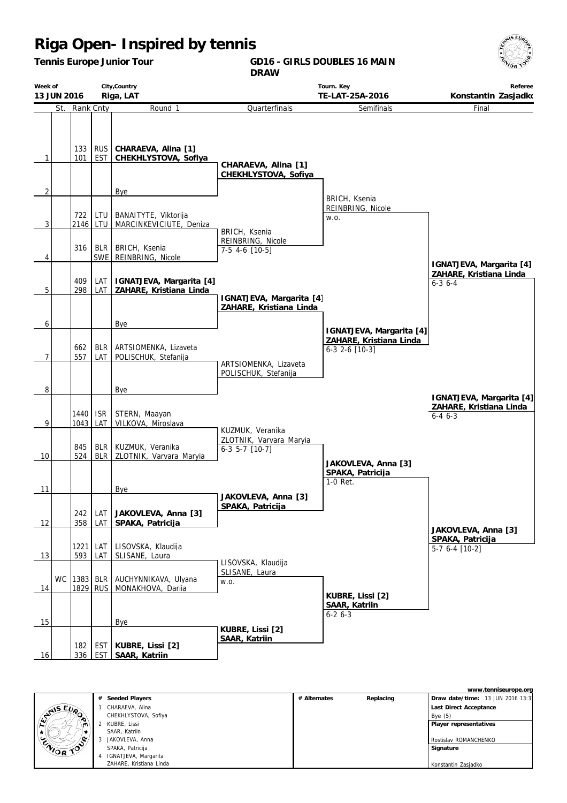*Tennis Europe Junior Tour*

**GD16 - GIRLS DOUBLES 16 MAIN DRAW**



|                | City, Country<br>Week of<br>Riga, LAT<br>13 JUN 2016 |                      | Tourn. Key<br>TE-LAT-25A-2016<br>Konstantin Zasjadko |                                                      |                                                                   |                                                                       |                                                                      |
|----------------|------------------------------------------------------|----------------------|------------------------------------------------------|------------------------------------------------------|-------------------------------------------------------------------|-----------------------------------------------------------------------|----------------------------------------------------------------------|
|                | St.                                                  | Rank Cnty            |                                                      | Round 1                                              | Quarterfinals                                                     | Semifinals                                                            | Final                                                                |
| 1              |                                                      | 133<br>101           | <b>RUS</b><br><b>EST</b>                             | CHARAEVA, Alina [1]<br>CHEKHLYSTOVA, Sofiya          | CHARAEVA, Alina [1]<br>CHEKHLYSTOVA, Sofiya                       |                                                                       |                                                                      |
| $\overline{2}$ |                                                      |                      |                                                      | Bye                                                  |                                                                   |                                                                       |                                                                      |
| 3              |                                                      | 722<br>2146 LTU      | LTU                                                  | BANAITYTE, Viktorija<br>MARCINKEVICIUTE, Deniza      | BRICH, Ksenia                                                     | BRICH, Ksenia<br>REINBRING, Nicole<br>W.O.                            |                                                                      |
| 4              |                                                      | 316                  | <b>BLR</b><br>SWE                                    | BRICH, Ksenia<br>REINBRING, Nicole                   | REINBRING, Nicole<br>7-5 4-6 [10-5]                               |                                                                       | IGNATJEVA, Margarita [4]                                             |
| 5              |                                                      | 409<br>298           | LAT<br>LAT                                           | IGNATJEVA, Margarita [4]<br>ZAHARE, Kristiana Linda  |                                                                   |                                                                       | ZAHARE, Kristiana Linda<br>$6 - 3$ 6 - 4                             |
|                |                                                      |                      |                                                      |                                                      | IGNATJEVA, Margarita [4]<br>ZAHARE, Kristiana Linda               |                                                                       |                                                                      |
| 6<br>7         |                                                      | 662<br>557           | <b>BLR</b><br>LAT                                    | Bye<br>ARTSIOMENKA, Lizaveta<br>POLISCHUK, Stefanija | ARTSIOMENKA, Lizaveta<br>POLISCHUK, Stefanija                     | IGNATJEVA, Margarita [4]<br>ZAHARE, Kristiana Linda<br>6-3 2-6 [10-3] |                                                                      |
| 8              |                                                      |                      |                                                      | Bye                                                  |                                                                   |                                                                       |                                                                      |
| 9              |                                                      | 1440<br>1043         | <b>ISR</b><br>LAT                                    | STERN, Maayan<br>VILKOVA, Miroslava                  |                                                                   |                                                                       | IGNATJEVA, Margarita [4]<br>ZAHARE, Kristiana Linda<br>$6 - 46 - -3$ |
| 10             |                                                      | 845<br>524           | <b>BLR</b><br><b>BLR</b>                             | KUZMUK, Veranika<br>ZLOTNIK, Varvara Maryia          | KUZMUK, Veranika<br>ZLOTNIK, Varvara Maryia<br>$6-3$ 5-7 $[10-7]$ | JAKOVLEVA, Anna [3]                                                   |                                                                      |
| 11             |                                                      |                      |                                                      | Bye                                                  | JAKOVLEVA, Anna [3]                                               | SPAKA, Patricija<br>$1-0$ Ret.                                        |                                                                      |
| 12             |                                                      | 242<br>358           | LAT<br>LAT                                           | JAKOVLEVA, Anna [3]<br>SPAKA, Patricija              | SPAKA, Patricija                                                  |                                                                       | JAKOVLEVA, Anna [3]                                                  |
| 13             |                                                      | 1221<br>593          | LAT<br>LAT                                           | LISOVSKA, Klaudija<br>SLISANE, Laura                 |                                                                   |                                                                       | SPAKA, Patricija<br>5-7 6-4 [10-2]                                   |
| 14             | <b>WC</b>                                            | 1383 BLR<br>1829 RUS |                                                      | AUCHYNNIKAVA, Ulyana<br>MONAKHOVA, Dariia            | LISOVSKA, Klaudija<br>SLISANE, Laura<br>W.O.                      |                                                                       |                                                                      |
| 15             |                                                      |                      |                                                      | Bye                                                  |                                                                   | KUBRE, Lissi [2]<br>SAAR, Katriin<br>$6 - 26 - 3$                     |                                                                      |
| 16             |                                                      | 182<br>336           | EST<br><b>EST</b>                                    | KUBRE, Lissi [2]<br>SAAR, Katriin                    | KUBRE, Lissi [2]<br><b>SAAR, Katriin</b>                          |                                                                       |                                                                      |

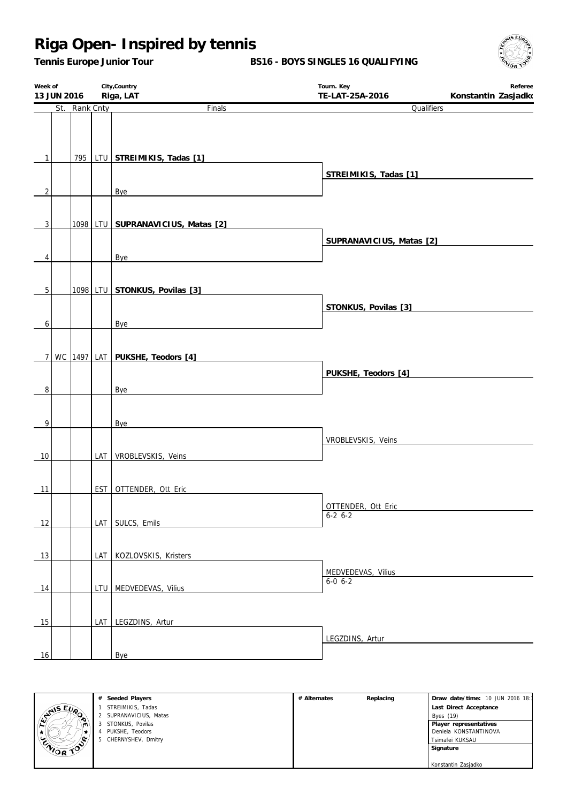*Tennis Europe Junior Tour*

**BS16 - BOYS SINGLES 16 QUALIFYING**



| Week of<br>13 JUN 2016 |  |               | City, Country                     | Tourn. Key                        | Referee             |
|------------------------|--|---------------|-----------------------------------|-----------------------------------|---------------------|
|                        |  | St. Rank Cnty | Riga, LAT<br>Finals               | TE-LAT-25A-2016<br>Qualifiers     | Konstantin Zasjadko |
|                        |  |               |                                   |                                   |                     |
| $\mathbf{1}$           |  | 795           | LTU STREIMIKIS, Tadas [1]         |                                   |                     |
| $\overline{2}$         |  |               | Bye                               | STREIMIKIS, Tadas [1]             |                     |
| 3                      |  |               | 1098 LTU SUPRANAVICIUS, Matas [2] |                                   |                     |
| 4                      |  |               | Bye                               | SUPRANAVICIUS, Matas [2]          |                     |
|                        |  |               |                                   |                                   |                     |
| 5                      |  |               | 1098 LTU STONKUS, Povilas [3]     | STONKUS, Povilas [3]              |                     |
| 6                      |  |               | <b>Bye</b>                        |                                   |                     |
| 7 <sup>1</sup>         |  |               | WC 1497 LAT PUKSHE, Teodors [4]   | PUKSHE, Teodors [4]               |                     |
| 8                      |  |               | Bye                               |                                   |                     |
| 9                      |  |               | <b>Bye</b>                        |                                   |                     |
| 10                     |  |               | LAT VROBLEVSKIS, Veins            | VROBLEVSKIS, Veins                |                     |
|                        |  |               |                                   |                                   |                     |
| 11                     |  |               | EST   OTTENDER, Ott Eric          | OTTENDER, Ott Eric                |                     |
| 12                     |  |               | LAT SULCS, Emils                  | $6-26-2$                          |                     |
| 13                     |  |               | LAT KOZLOVSKIS, Kristers          |                                   |                     |
| 14                     |  |               | LTU MEDVEDEVAS, Vilius            | MEDVEDEVAS, Vilius<br>$6-0$ $6-2$ |                     |
| 15                     |  |               | LAT LEGZDINS, Artur               |                                   |                     |
| 16                     |  |               | <b>Bye</b>                        | LEGZDINS, Artur                   |                     |



**# Seeded Players** STREIMIKIS, Tadas SUPRANAVICIUS, Matas STONKUS, Povilas PUKSHE, Teodors CHERNYSHEV, Dmitry

| # Alternates | Replacing | Draw date/time: 10 JUN 2016 18:1 |
|--------------|-----------|----------------------------------|
|              |           | Last Direct Acceptance           |
|              |           | Byes (19)                        |
|              |           | Player representatives           |
|              |           | Deniela KONSTANTINOVA            |
|              |           | Tsimafei KUKSAU                  |
|              |           | Signature                        |
|              |           |                                  |
|              |           | Konstantin Zasjadko              |